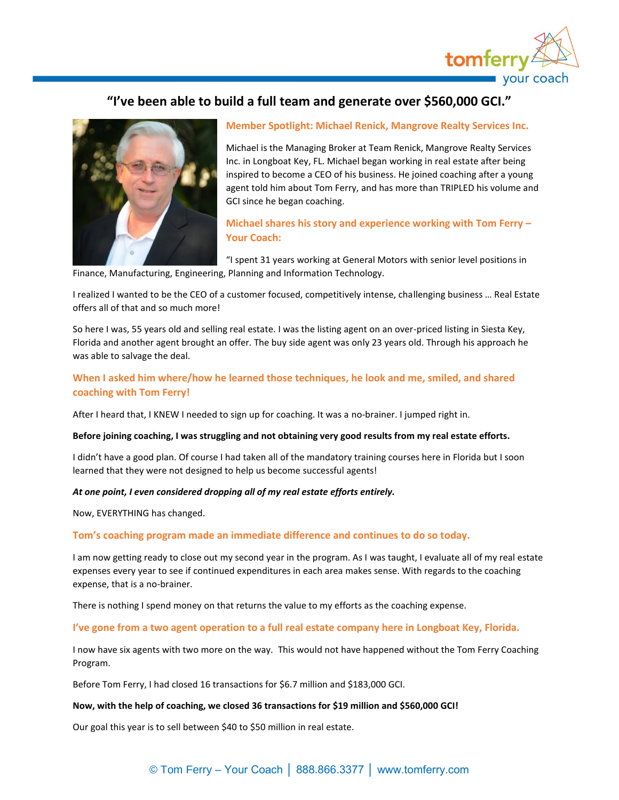

# **"I've been able to build a full team and generate over \$560,000 GCI."**



# **Member Spotlight: Michael Renick, Mangrove Realty Services Inc.**

Michael is the Managing Broker at Team Renick, Mangrove Realty Services Inc. in Longboat Key, FL. Michael began working in real estate after being inspired to become a CEO of his business. He joined coaching after a young agent told him about Tom Ferry, and has more than TRIPLED his volume and GCI since he began coaching.

# **Michael shares his story and experience working with Tom Ferry – Your Coach:**

"I spent 31 years working at General Motors with senior level positions in Finance, Manufacturing, Engineering, Planning and Information Technology.

I realized I wanted to be the CEO of a customer focused, competitively intense, challenging business … Real Estate offers all of that and so much more!

So here I was, 55 years old and selling real estate. I was the listing agent on an over-priced listing in Siesta Key, Florida and another agent brought an offer. The buy side agent was only 23 years old. Through his approach he was able to salvage the deal.

# **When I asked him where/how he learned those techniques, he look and me, smiled, and shared coaching with Tom Ferry!**

After I heard that, I KNEW I needed to sign up for coaching. It was a no-brainer. I jumped right in.

# **Before joining coaching, I was struggling and not obtaining very good results from my real estate efforts.**

I didn't have a good plan. Of course I had taken all of the mandatory training courses here in Florida but I soon learned that they were not designed to help us become successful agents!

# *At one point, I even considered dropping all of my real estate efforts entirely.*

Now, EVERYTHING has changed.

# **Tom's coaching program made an immediate difference and continues to do so today.**

I am now getting ready to close out my second year in the program. As I was taught, I evaluate all of my real estate expenses every year to see if continued expenditures in each area makes sense. With regards to the coaching expense, that is a no-brainer.

There is nothing I spend money on that returns the value to my efforts as the coaching expense.

#### **I've gone from a two agent operation to a full real estate company here in Longboat Key, Florida.**

I now have six agents with two more on the way. This would not have happened without the Tom Ferry Coaching Program.

Before Tom Ferry, I had closed 16 transactions for \$6.7 million and \$183,000 GCI.

#### **Now, with the help of coaching, we closed 36 transactions for \$19 million and \$560,000 GCI!**

Our goal this year is to sell between \$40 to \$50 million in real estate.